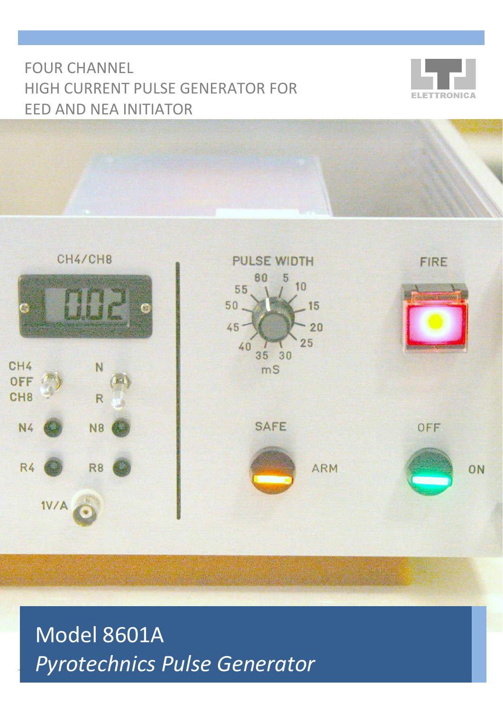# FOUR CHANNEL HIGH CURRENT PULSE GENERATOR FOR EED AND NEA INITIATOR





Model 8601A **Pyrotechnics Pulse Generator**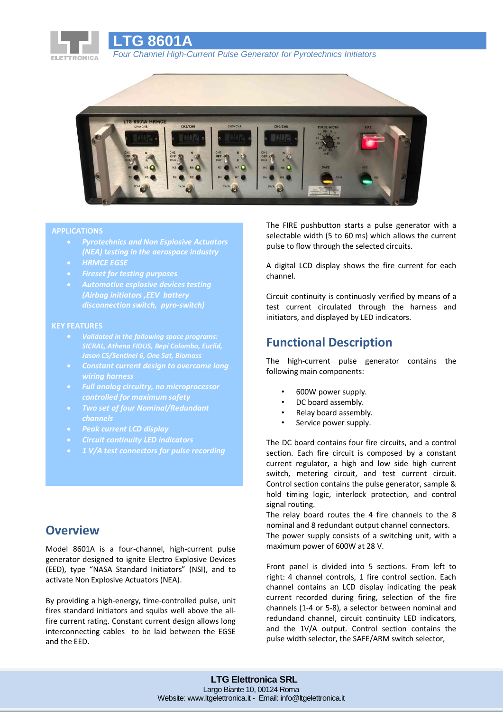

*Four Channel High-Current Pulse Generator for Pyrotechnics Initiators*



### **APPLICATIONS**

• *Pyrotechnics and Non Esplosive Actuators (NEA) testing in the aerospace industry*

**LTG 8601A**

- *HRMCE EGSE*
- *Fireset for testing purposes*
- *Automotive esplosive devices testing (Airbag initiators ,EEV battery disconnection switch, pyro-switch)*

#### **KEY FEATURES**

- *SICRAL, Athena FIDUS, Bepi Colombo, Euclid,*
- *wiring harness*
- *Full analog circuitry, no microprocessor controlled for maximum safety*
- *Two set of four Nominal/Redundant channels*
- *Peak current LCD display*
- *Circuit continuity LED indicators*
- *1 V/A test connectors for pulse recording*

### **Overview**

Model 8601A is a four-channel, high-current pulse generator designed to ignite Electro Explosive Devices (EED), type "NASA Standard Initiators" (NSI), and to activate Non Explosive Actuators (NEA).

By providing a high-energy, time-controlled pulse, unit fires standard initiators and squibs well above the allfire current rating. Constant current design allows long interconnecting cables to be laid between the EGSE and the EED.

The FIRE pushbutton starts a pulse generator with a selectable width (5 to 60 ms) which allows the current pulse to flow through the selected circuits.

A digital LCD display shows the fire current for each channel.

Circuit continuity is continuosly verified by means of a test current circulated through the harness and initiators, and displayed by LED indicators.

## **Functional Description**

The high-current pulse generator contains the following main components:

- 600W power supply.
- DC board assembly.
- Relay board assembly.
- Service power supply.

The DC board contains four fire circuits, and a control section. Each fire circuit is composed by a constant current regulator, a high and low side high current switch, metering circuit, and test current circuit. Control section contains the pulse generator, sample & hold timing logic, interlock protection, and control signal routing.

The relay board routes the 4 fire channels to the 8 nominal and 8 redundant output channel connectors. The power supply consists of a switching unit, with a maximum power of 600W at 28 V.

Front panel is divided into 5 sections. From left to right: 4 channel controls, 1 fire control section. Each channel contains an LCD display indicating the peak current recorded during firing, selection of the fire channels (1-4 or 5-8), a selector between nominal and redundand channel, circuit continuity LED indicators, and the 1V/A output. Control section contains the pulse width selector, the SAFE/ARM switch selector,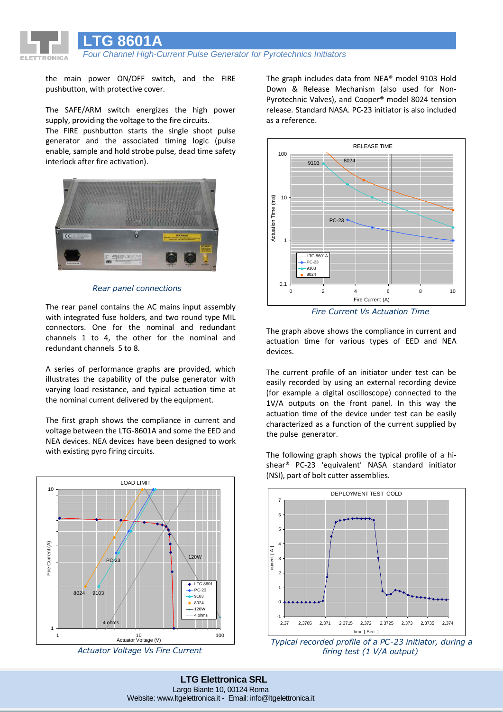**LTG 8601A**

*Four Channel High-Current Pulse Generator for Pyrotechnics Initiators*

the main power ON/OFF switch, and the FIRE pushbutton, with protective cover.

The SAFE/ARM switch energizes the high power supply, providing the voltage to the fire circuits.

The FIRE pushbutton starts the single shoot pulse generator and the associated timing logic (pulse enable, sample and hold strobe pulse, dead time safety interlock after fire activation).



*Rear panel connections*

The rear panel contains the AC mains input assembly with integrated fuse holders, and two round type MIL connectors. One for the nominal and redundant channels 1 to 4, the other for the nominal and redundant channels 5 to 8.

A series of performance graphs are provided, which illustrates the capability of the pulse generator with varying load resistance, and typical actuation time at the nominal current delivered by the equipment.

The first graph shows the compliance in current and voltage between the LTG-8601A and some the EED and NEA devices. NEA devices have been designed to work with existing pyro firing circuits.



*Actuator Voltage Vs Fire Current*

The graph includes data from NEA® model 9103 Hold Down & Release Mechanism (also used for Non-Pyrotechnic Valves), and Cooper® model 8024 tension release. Standard NASA. PC-23 initiator is also included as a reference.



*Fire Current Vs Actuation Time*

The graph above shows the compliance in current and actuation time for various types of EED and NEA devices.

The current profile of an initiator under test can be easily recorded by using an external recording device (for example a digital oscilloscope) connected to the 1V/A outputs on the front panel. In this way the actuation time of the device under test can be easily characterized as a function of the current supplied by the pulse generator.

The following graph shows the typical profile of a hishear® PC-23 'equivalent' NASA standard initiator (NSI), part of bolt cutter assemblies.



*Typical recorded profile of a PC-23 initiator, during a firing test (1 V/A output)*